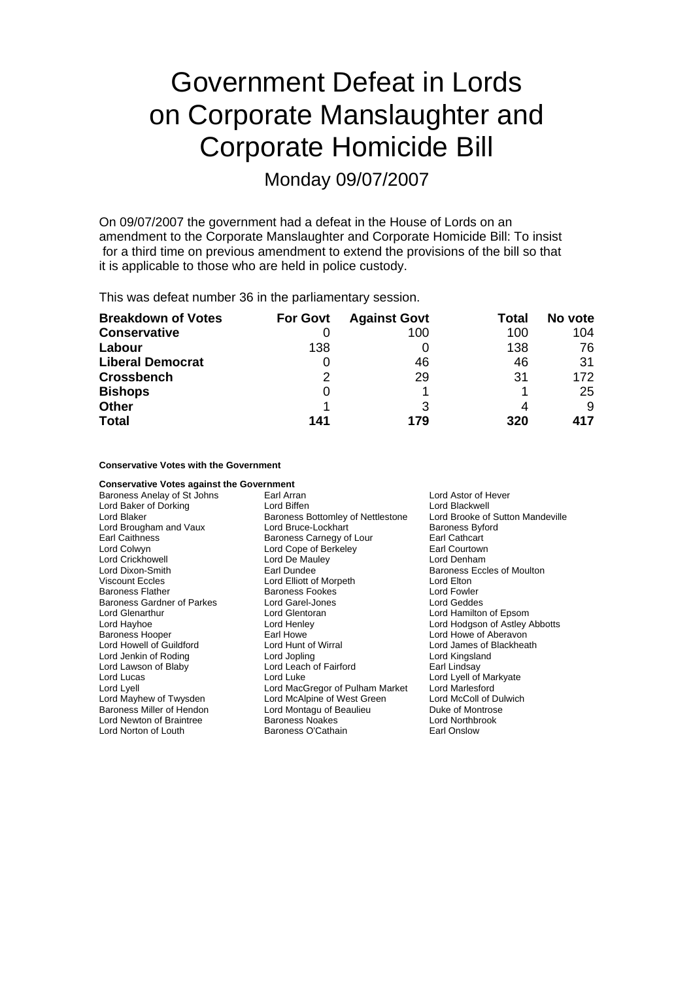# Government Defeat in Lords on Corporate Manslaughter and Corporate Homicide Bill

Monday 09/07/2007

On 09/07/2007 the government had a defeat in the House of Lords on an amendment to the Corporate Manslaughter and Corporate Homicide Bill: To insist for a third time on previous amendment to extend the provisions of the bill so that it is applicable to those who are held in police custody.

This was defeat number 36 in the parliamentary session.

| <b>Breakdown of Votes</b> | <b>For Govt</b> | <b>Against Govt</b> | Total | No vote |
|---------------------------|-----------------|---------------------|-------|---------|
| <b>Conservative</b>       |                 | 100                 | 100   | 104     |
| Labour                    | 138             |                     | 138   | 76      |
| <b>Liberal Democrat</b>   |                 | 46                  | 46    | 31      |
| <b>Crossbench</b>         | 2               | 29                  | 31    | 172     |
| <b>Bishops</b>            | 0               |                     |       | 25      |
| <b>Other</b>              |                 |                     |       | 9       |
| <b>Total</b>              | 141             | 179                 | 320   | 417     |

## **Conservative Votes with the Government**

**Conservative Votes against the Government**<br>Baroness Anelay of St Johns Farl Arran Baroness Anelay of St Johns **Earl Arran** Earl Arran **Lord Astor of Hever** Lord Baker of Dorking<br>
Lord Blackwell<br>
Lord Blaker Corress Bottomlev of Nettlestone Lord Brooke of Sutton Mandeville Lord Brougham and Vaux Earl Caithness Baroness Carnegy of Lour Earl Cathcart Lord Colwyn Lord Cope of Berkeley Earl Courtown Lord Crickhowell Lord De Mau<br>
Lord Dixon-Smith Lord Earl Dundee Viscount Eccles **Lord Elliott of Morpeth** Cord Elliott of Morpeth Lord Elton<br>Baroness Flather **Baroness Fookes** Lord Fowle Baroness Gardner of Parkes Lord Glenarthur Lord Glentoran Lord Hamilton of Epsom Lord Hayhoe Lord Henley Lord Hodgson of Astley Abbotts Baroness Hooper Earl Howe Lord Howe of Aberavon Lord Jenkin of Roding Lord Jopling Lord Kingsland Lord Lawson of Blaby **Lord Leach of Fairford** Earl Lindsay<br>
Lord Lucas Lord Lucas Lord Lucal of Luke Lord Lucal Lord Lyell of Lord Lyell **Lord MacGregor of Pulham Market** Lord Mayhew of Twysden Lord McAlpine of West Green Lord McColl of Dulwich<br>
Baroness Miller of Hendon Lord Montagu of Beaulieu Duke of Montrose Lord Newton of Braintree Lord Norton of Louth **Baroness O'Cathain** Earl Onslow

Baroness Bottomley of Nettlestone Lord Brooke of Sutton Baroness Byford<br>
Lord Bruce-Lockhart Baroness Byford Baroness Eccles of Moulton Baroness Fookes<br>
Lord Garel-Jones<br>
Lord Geddes Lord James of Blackheath Lord Lyell of Markyate<br>Lord Marlesford **Lord Montagu of Beaulieu Communisty Control Duke of Montrose**<br>Baroness Noakes **Duke of Montrophy**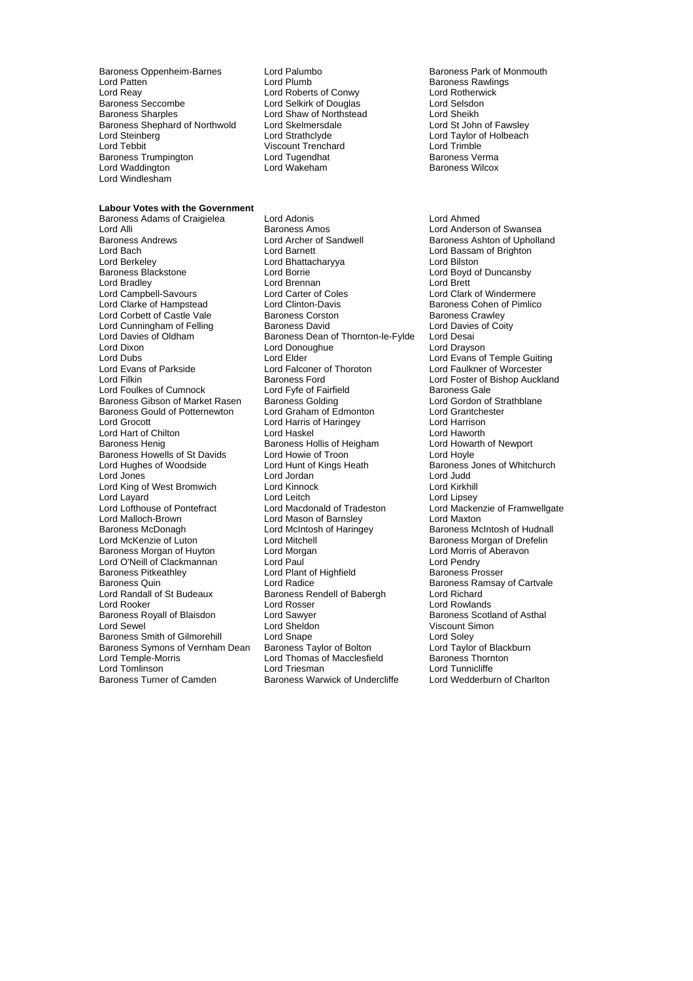Baroness Oppenheim-Barnes Lord Palumbo<br>
Lord Pumb Baroness Rawlings<br>
Lord Patten Baroness Rawlings Lord Patten **Communist Communist Communist Communist Communist Communist Communist Communist Communist Communist Communist Communist Communist Communist Communist Communist Communist Communist Communist Communist Communist** Lord Reay **Lord Roberts of Conwy** Lord Roberts of Conwy<br>
Baroness Seccombe **Lord Selset Lord Selset Lord Selset Lord Selset Lord Selset Lord Selset Lord Selset Converted** Baroness Seccombe Lord Selkirk of Douglas Lord Selsdon Baroness Shephard of Northwold Lord Skelmersda<br>Lord Steinberg Lord Carathclyde Lord Steinberg Lord Strathclyde Lord Taylor of Holbeach Baroness Trumpington and Lord Tugendhat and Baroness Verma<br>
Lord Waddington Lord Wakeham<br>
Lord Wateham Baroness Wilcox Lord Waddington Lord Windlesham

### **Labour Votes with the Government**

Lord Alli **Communist Communist Communist Communist Communist Communist Communist Communist Communist Communist C**<br>Baroness Andrews **Communist Communist Communist Communist Communist Communist Communist Communist Communist** Lord Bach Lord Barnett Lord Bassam of Brighton<br>
Lord Berkeley Cord Bhattacharyya Lord Bilston<br>
Lord Berkeley Cord Bilston Lord Berkeley **Lord Bhattacharyya**<br>
Baroness Blackstone **Lord Borrie** Lord Bradley Lord Brennan Lord Brennan Lord Brett<br>
Lord Campbell-Savours Lord Carter of Coles Lord Clark Lord Campbell-Savours Lord Carter of Coles Lord Clark of Windermere Lord Corbett of Castle Vale Baroness Corston Baroness Cawley<br>
Lord Cunningham of Felling Baroness David Baroness Corty Lord Cunningham of Felling Baroness David Lord Davies Lord Davies Carries baroness Dean of Thornton-le-Fylde Lord Desai Lord Davies of Oldham and Baroness Dean of Thornton-le-Fylde Lord Desai<br>Lord Dixon Lord Dravson Lord Donoughue bord Dravson Lord Dixon Lord Donoughue<br>
Lord Dubs<br>
Lord Elder Lord Dubs<br>
Lord Dubs Lord Elder Lord Elder Lord Evans of Temple Guiting<br>
Lord Evans of Parkside Lord Falloner of Thoroton Lord Faulkner of Worcester Lord Evans of Parkside Lord Falconer of Thoroton Lord Faulkner of Worcester Lord Filkin **Example 20** Baroness Ford **Lord Foster of Bishop Auckland**<br>Lord Foulkes of Cumnock Lord Forte of Fairfield **Baroness Gale** Baroness Gibson of Market Rasen Baroness Golding<br>Baroness Gould of Potternewton Lord Graham of Edmonton Baroness Gould of Potternewton Lord Graham of Edmonton Lord Grantchester<br>
Lord Grocott Lord Harrison Lord Harrisof Haringey Lord Harrison Lord Hart of Chilton Baroness Henig Baroness Hollis of Heigham Lord Howarth of Newport<br>Baroness Howells of St Davids Lord Howie of Troon Lord Hoyle Lord Hoyle Baroness Howells of St Davids<br>
Lord Howie of Troon<br>
Lord Hunt of Kings Heath Lord Hughes of Woodside Lord Hunt of Kings Heath Baroness Jones of Whitchurch Lord King of West Bromwich Lord Kinnock Lord Kirkhill Lord Layard **Lord Leitch** Lord Leitch Lord Layard Lord Lipsey<br>
Lord Lofthouse of Pontefract Lord Macdonald of Tradeston Lord Macke Lord Malloch-Brown Lord Mason of Barnsley Lord Maxton Baroness McDonagh **Baroness McDonagh Corporation** Lord McIntosh of Haringey **Baroness McIntosh of Hudnall**<br>
Lord McKenzie of Luton Lord Mitchell **Baroness Morgan** of Drefelin Baroness Morgan of Huyton Lord Morgan Lord O'Neill of Clackmannan Lord Paul Lord Pendry Baroness Pitkeathley **Lord Plant of Highfield**<br> **Baroness Quin**<br> **Baroness Quin**<br> **Paroness Property** Baroness Quin Theory Cord Radice Team and Baroness Ramsay of Cartvale<br>
Lord Randall of St Budeaux Baroness Rendell of Babergh Lord Richard Lord Randall of St Budeaux Baroness Rendell of Babergh<br>
Lord Rooker Lord Rosser Lord Rooker Lord Rosser Lord Rosser<br>
Lord Rooker Lord Sawyer Lord Sawyer Baroness Scotland Baroness Scotland Baroness Scotland Baroness Scotland B Lord Sewel Lord Sheldon Viscount Simon Baroness Smith of Gilmorehill Lord Snape<br>Baroness Symons of Vernham Dean Baroness Taylor of Bolton Lord Taylor of Blackburn Baroness Symons of Vernham Dean Baroness Taylor of Bolton Lord Taylor of Black<br>Lord Temple-Morris Lord Thomas of Macclesfield Baroness Thornton

Lord Shaw of Northstead Lord Sheikh<br>Lord Skelmersdale Lord St John of Fawslev Viscount Trenchard<br>Lord Tugendhat

Baroness Adams of Craigielea Lord Adonis Lord Ahmed Lord Clinton-Davis<br>
Baroness Corston<br>
Baroness Crawley Lord Fyfe of Fairfield **Exercise Connect Baroness Gale**<br>
Baroness Golding **Baroness Colding** Lord Gordon of Strathblane Lord Harris of Haringey<br>
Lord Haskel<br>
Lord Haworth Lord Jordan Lord Sawyer **Baroness Scotland of Asthal** Lord Thomas of Macclesfield<br>Lord Triesman Lord Tomlinson<br>
Baroness Turner of Camden<br>
Baroness Warwick of Undercliffe Lord Wedderburn of Charlton Baroness Warwick of Undercliffe

Baroness Ashton of Upholland Lord Boyd of Duncansby Lord Mackenzie of Framwellgate Baroness Morgan of Drefelin<br>Lord Morris of Aberavon